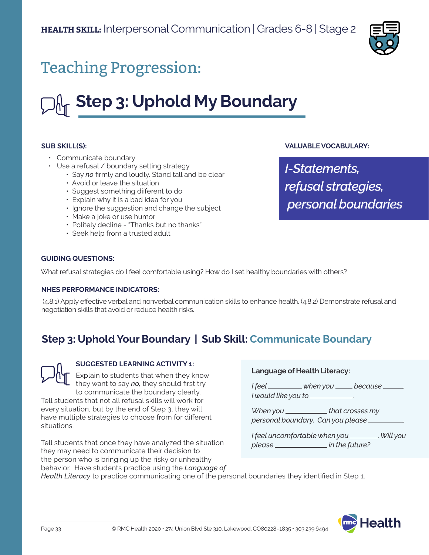

## Teaching Progression:

# **Step 3: Uphold My Boundary**

#### **SUB SKILL(S):**

- Communicate boundary
- Use a refusal / boundary setting strategy
	- Say *no* firmly and loudly. Stand tall and be clear
	- Avoid or leave the situation
	- Suggest something different to do
	- Explain why it is a bad idea for you
	- Ignore the suggestion and change the subject
	- Make a joke or use humor
	- Politely decline "Thanks but no thanks"
	- Seek help from a trusted adult

#### **VALUABLE VOCABULARY:**

*I-Statements, refusal strategies, personal boundaries*

#### **GUIDING QUESTIONS:**

What refusal strategies do I feel comfortable using? How do I set healthy boundaries with others?

#### **NHES PERFORMANCE INDICATORS:**

 (4.8.1) Apply effective verbal and nonverbal communication skills to enhance health. (4.8.2) Demonstrate refusal and negotiation skills that avoid or reduce health risks.

## **Step 3: Uphold Your Boundary | Sub Skill: Communicate Boundary**



#### **SUGGESTED LEARNING ACTIVITY 1:**

Explain to students that when they know they want to say *no,* they should first try to communicate the boundary clearly.

Tell students that not all refusal skills will work for every situation, but by the end of Step 3, they will have multiple strategies to choose from for different situations.

Tell students that once they have analyzed the situation they may need to communicate their decision to the person who is bringing up the risky or unhealthy behavior. Have students practice using the *Language of* 

#### **Language of Health Literacy:**

*I* feel \_\_\_\_\_\_\_\_\_ when you \_\_\_\_\_ because \_\_\_\_\_\_ *I would like you to* .

*When you* \_\_\_\_\_\_\_\_\_\_\_\_\_\_that crosses my *personal boundary. Can you please* .

*I feel uncomfortable when you* . *Will you please in the future?*

*Health Literacy* to practice communicating one of the personal boundaries they identified in Step 1.

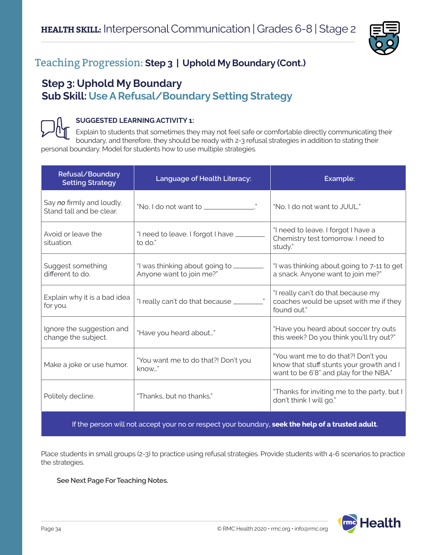

## Teaching Progression: **Step 3 | Uphold My Boundary (Cont.)**

### **Step 3: Uphold My Boundary Sub Skill: Use A Refusal/Boundary Setting Strategy**

#### **SUGGESTED LEARNING ACTIVITY 1:**

Explain to students that sometimes they may not feel safe or comfortable directly communicating their boundary, and therefore, they should be ready with 2-3 refusal strategies in addition to stating their personal boundary. Model for students how to use multiple strategies.

| Refusal/Boundary<br><b>Setting Strategy</b>           | Language of Health Literacy:                                          | Example:                                                                                                                  |
|-------------------------------------------------------|-----------------------------------------------------------------------|---------------------------------------------------------------------------------------------------------------------------|
| Say no firmly and loudly.<br>Stand tall and be clear. |                                                                       | "No, I do not want to JUUL."                                                                                              |
| Avoid or leave the<br>situation.                      | "I need to leave. I forgot I have ____<br>to do."                     | "I need to leave. I forgot I have a<br>Chemistry test tomorrow. I need to<br>study."                                      |
| Suggest something<br>different to do.                 | "I was thinking about going to _________.<br>Anyone want to join me?" | "I was thinking about going to 7-11 to get<br>a snack. Anyone want to join me?"                                           |
| Explain why it is a bad idea<br>for you.              |                                                                       | "I really can't do that because my<br>coaches would be upset with me if they<br>found out."                               |
| Ignore the suggestion and<br>change the subject.      | "Have you heard about"                                                | "Have you heard about soccer try outs<br>this week? Do you think you'll try out?"                                         |
| Make a joke or use humor.                             | "You want me to do that?! Don't you<br>know"                          | "You want me to do that?! Don't you<br>know that stuff stunts your growth and I<br>want to be 6'8" and play for the NBA." |
| Politely decline.                                     | "Thanks, but no thanks."                                              | "Thanks for inviting me to the party, but I<br>don't think I will go."                                                    |

If the person will not accept your no or respect your boundary**, seek the help of a trusted adult.**

Place students in small groups (2-3) to practice using refusal strategies. Provide students with 4-6 scenarios to practice the strategies.

#### **See Next Page For Teaching Notes.**